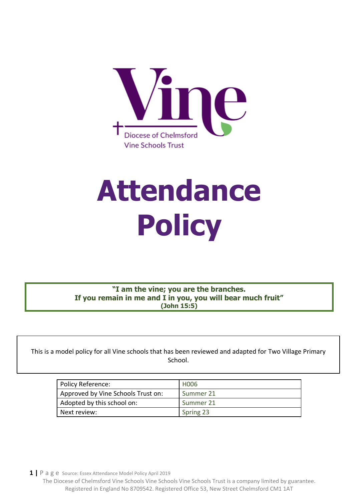

# **Attendance Policy**

**"I am the vine; you are the branches. If you remain in me and I in you, you will bear much fruit" (John 15:5)**

This is a model policy for all Vine schools that has been reviewed and adapted for Two Village Primary School.

| Policy Reference:                  | H <sub>006</sub> |
|------------------------------------|------------------|
| Approved by Vine Schools Trust on: | Summer 21        |
| Adopted by this school on:         | Summer 21        |
| Next review:                       | Spring 23        |

**1 |** P a g e Source: Essex Attendance Model Policy April 2019

 $\blacksquare$ 

The Diocese of Chelmsford Vine Schools Vine Schools Vine Schools Trust is a company limited by guarantee. Registered in England No 8709542. Registered Office 53, New Street Chelmsford CM1 1AT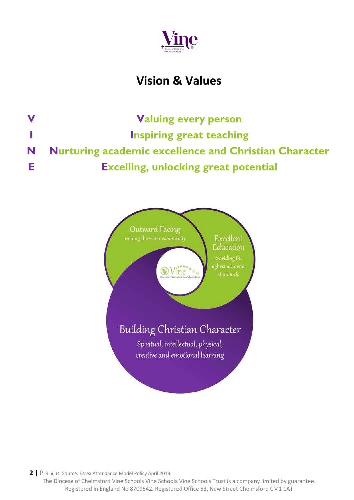

# **Vision & Values**

**V Valuing every person I Inspiring great teaching N Nurturing academic excellence and Christian Character E Excelling, unlocking great potential**

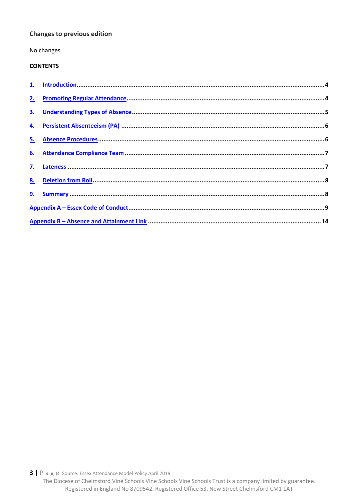#### **Changes to previous edition**

No changes

# **CONTENTS**

| 2.        |  |
|-----------|--|
| <u>3.</u> |  |
| 4.        |  |
| 5.        |  |
| 6.        |  |
| <u>7.</u> |  |
|           |  |
|           |  |
|           |  |
|           |  |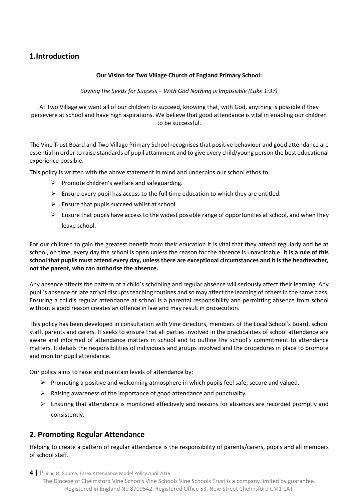# <span id="page-3-0"></span>**1.Introduction**

#### **Our Vision for Two Village Church of England Primary School:**

*Sowing the Seeds for Success – With God Nothing is Impossible (Luke 1:37)*

At Two Village we want all of our children to succeed, knowing that, with God, anything is possible if they persevere at school and have high aspirations. We believe that good attendance is vital in enabling our children to be successful.

The Vine Trust Board and Two Village Primary School recognises that positive behaviour and good attendance are essential in order to raise standards of pupil attainment and to give every child/young person the best educational experience possible.

This policy is written with the above statement in mind and underpins our school ethos to:

- $\triangleright$  Promote children's welfare and safeguarding.
- ➢ Ensure every pupil has access to the full time education to which they are entitled.
- $\triangleright$  Ensure that pupils succeed whilst at school.
- $\triangleright$  Ensure that pupils have access to the widest possible range of opportunities at school, and when they leave school.

For our children to gain the greatest benefit from their education it is vital that they attend regularly and be at school, on time, every day the school is open unless the reason for the absence is unavoidable. **It is a rule of this school that pupils must attend every day, unless there are exceptional circumstances and it is the headteacher, not the parent, who can authorise the absence.**

Any absence affects the pattern of a child's schooling and regular absence will seriously affect their learning. Any pupil's absence or late arrival disrupts teaching routines and so may affect the learning of others in the same class. Ensuring a child's regular attendance at school is a parental responsibility and permitting absence from school without a good reason creates an offence in law and may result in prosecution.

This policy has been developed in consultation with Vine directors, members of the Local School's Board, school staff, parents and carers. It seeks to ensure that all parties involved in the practicalities of school attendance are aware and informed of attendance matters in school and to outline the school's commitment to attendance matters. It details the responsibilities of individuals and groups involved and the procedures in place to promote and monitor pupil attendance.

Our policy aims to raise and maintain levels of attendance by:

- $\triangleright$  Promoting a positive and welcoming atmosphere in which pupils feel safe, secure and valued.
- $\triangleright$  Raising awareness of the importance of good attendance and punctuality.
- $\triangleright$  Ensuring that attendance is monitored effectively and reasons for absences are recorded promptly and consistently.

# <span id="page-3-1"></span>**2. Promoting Regular Attendance**

Helping to create a pattern of regular attendance is the responsibility of parents/carers, pupils and all members of school staff.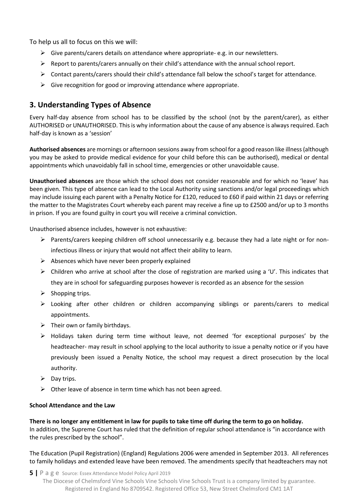To help us all to focus on this we will:

- $\triangleright$  Give parents/carers details on attendance where appropriate- e.g. in our newsletters.
- $\triangleright$  Report to parents/carers annually on their child's attendance with the annual school report.
- ➢ Contact parents/carers should their child's attendance fall below the school's target for attendance.
- $\triangleright$  Give recognition for good or improving attendance where appropriate.

# <span id="page-4-0"></span>**3. Understanding Types of Absence**

Every half-day absence from school has to be classified by the school (not by the parent/carer), as either AUTHORISED or UNAUTHORISED. This is why information about the cause of any absence is always required. Each half-day is known as a 'session'

**Authorised absences** are mornings or afternoon sessions away from school for a good reason like illness (although you may be asked to provide medical evidence for your child before this can be authorised), medical or dental appointments which unavoidably fall in school time, emergencies or other unavoidable cause.

**Unauthorised absences** are those which the school does not consider reasonable and for which no 'leave' has been given. This type of absence can lead to the Local Authority using sanctions and/or legal proceedings which may include issuing each parent with a Penalty Notice for £120, reduced to £60 if paid within 21 days or referring the matter to the Magistrates Court whereby each parent may receive a fine up to £2500 and/or up to 3 months in prison. If you are found guilty in court you will receive a criminal conviction.

Unauthorised absence includes, however is not exhaustive:

- ➢ Parents/carers keeping children off school unnecessarily e.g. because they had a late night or for noninfectious illness or injury that would not affect their ability to learn.
- $\triangleright$  Absences which have never been properly explained
- $\triangleright$  Children who arrive at school after the close of registration are marked using a 'U'. This indicates that they are in school for safeguarding purposes however is recorded as an absence for the session
- $\triangleright$  Shopping trips.
- ➢ Looking after other children or children accompanying siblings or parents/carers to medical appointments.
- $\triangleright$  Their own or family birthdays.
- ➢ Holidays taken during term time without leave, not deemed 'for exceptional purposes' by the headteacher- may result in school applying to the local authority to issue a penalty notice or if you have previously been issued a Penalty Notice, the school may request a direct prosecution by the local authority.
- $\triangleright$  Day trips.
- $\triangleright$  Other leave of absence in term time which has not been agreed.

#### **School Attendance and the Law**

**There is no longer any entitlement in law for pupils to take time off during the term to go on holiday.** In addition, the Supreme Court has ruled that the definition of regular school attendance is "in accordance with the rules prescribed by the school".

The Education (Pupil Registration) (England) Regulations 2006 were amended in September 2013. All references to family holidays and extended leave have been removed. The amendments specify that headteachers may not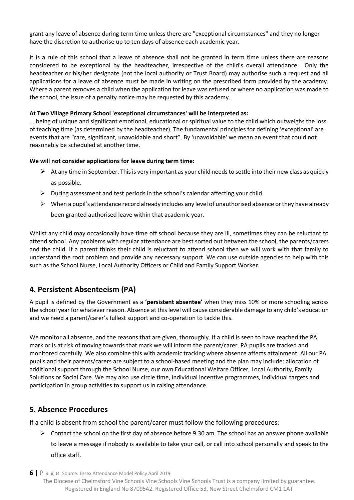grant any leave of absence during term time unless there are "exceptional circumstances" and they no longer have the discretion to authorise up to ten days of absence each academic year.

It is a rule of this school that a leave of absence shall not be granted in term time unless there are reasons considered to be exceptional by the headteacher, irrespective of the child's overall attendance. Only the headteacher or his/her designate (not the local authority or Trust Board) may authorise such a request and all applications for a leave of absence must be made in writing on the prescribed form provided by the academy. Where a parent removes a child when the application for leave was refused or where no application was made to the school, the issue of a penalty notice may be requested by this academy.

#### **At Two Village Primary School 'exceptional circumstances' will be interpreted as:**

... being of unique and significant emotional, educational or spiritual value to the child which outweighs the loss of teaching time (as determined by the headteacher). The fundamental principles for defining 'exceptional' are events that are "rare, significant, unavoidable and short". By 'unavoidable' we mean an event that could not reasonably be scheduled at another time.

#### **We will not consider applications for leave during term time:**

- $\triangleright$  At any time in September. This is very important as your child needs to settle into their new class as quickly as possible.
- $\triangleright$  During assessment and test periods in the school's calendar affecting your child.
- ➢ When a pupil's attendance record already includes any level of unauthorised absence or they have already been granted authorised leave within that academic year.

Whilst any child may occasionally have time off school because they are ill, sometimes they can be reluctant to attend school. Any problems with regular attendance are best sorted out between the school, the parents/carers and the child. If a parent thinks their child is reluctant to attend school then we will work with that family to understand the root problem and provide any necessary support. We can use outside agencies to help with this such as the School Nurse, Local Authority Officers or Child and Family Support Worker.

# <span id="page-5-0"></span>**4. Persistent Absenteeism (PA)**

A pupil is defined by the Government as a **'persistent absentee'** when they miss 10% or more schooling across the school year for whatever reason. Absence at this level will cause considerable damage to any child's education and we need a parent/carer's fullest support and co-operation to tackle this.

We monitor all absence, and the reasons that are given, thoroughly. If a child is seen to have reached the PA mark or is at risk of moving towards that mark we will inform the parent/carer. PA pupils are tracked and monitored carefully. We also combine this with academic tracking where absence affects attainment. All our PA pupils and their parents/carers are subject to a school-based meeting and the plan may include: allocation of additional support through the School Nurse, our own Educational Welfare Officer, Local Authority, Family Solutions or Social Care. We may also use circle time, individual incentive programmes, individual targets and participation in group activities to support us in raising attendance.

# <span id="page-5-1"></span>**5. Absence Procedures**

If a child is absent from school the parent/carer must follow the following procedures:

 $\triangleright$  Contact the school on the first day of absence before 9.30 am. The school has an answer phone available to leave a message if nobody is available to take your call, or call into school personally and speak to the office staff.

**6 |** P a g e Source: Essex Attendance Model Policy April 2019

The Diocese of Chelmsford Vine Schools Vine Schools Vine Schools Trust is a company limited by guarantee. Registered in England No 8709542. Registered Office 53, New Street Chelmsford CM1 1AT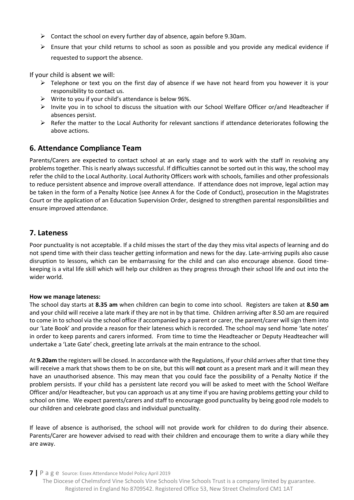- ➢ Contact the school on every further day of absence, again before 9.30am.
- $\triangleright$  Ensure that your child returns to school as soon as possible and you provide any medical evidence if requested to support the absence.

If your child is absent we will:

- $\triangleright$  Telephone or text you on the first day of absence if we have not heard from you however it is your responsibility to contact us.
- $\triangleright$  Write to you if your child's attendance is below 96%.
- ➢ Invite you in to school to discuss the situation with our School Welfare Officer or/and Headteacher if absences persist.
- ➢ Refer the matter to the Local Authority for relevant sanctions if attendance deteriorates following the above actions.

### <span id="page-6-0"></span>**6. Attendance Compliance Team**

Parents/Carers are expected to contact school at an early stage and to work with the staff in resolving any problems together. This is nearly always successful. If difficulties cannot be sorted out in this way, the school may refer the child to the Local Authority. Local Authority Officers work with schools, families and other professionals to reduce persistent absence and improve overall attendance. If attendance does not improve, legal action may be taken in the form of a Penalty Notice (see Annex A for the Code of Conduct), prosecution in the Magistrates Court or the application of an Education Supervision Order, designed to strengthen parental responsibilities and ensure improved attendance.

# <span id="page-6-1"></span>**7. Lateness**

Poor punctuality is not acceptable. If a child misses the start of the day they miss vital aspects of learning and do not spend time with their class teacher getting information and news for the day. Late-arriving pupils also cause disruption to lessons, which can be embarrassing for the child and can also encourage absence. Good timekeeping is a vital life skill which will help our children as they progress through their school life and out into the wider world.

#### **How we manage lateness:**

The school day starts at **8.35 am** when children can begin to come into school. Registers are taken at **8.50 am**  and your child will receive a late mark if they are not in by that time. Children arriving after 8.50 am are required to come in to school via the school office if accompanied by a parent or carer, the parent/carer will sign them into our 'Late Book' and provide a reason for their lateness which is recorded. The school may send home 'late notes' in order to keep parents and carers informed. From time to time the Headteacher or Deputy Headteacher will undertake a 'Late Gate' check, greeting late arrivals at the main entrance to the school.

At **9.20am** the registers will be closed. In accordance with the Regulations, if your child arrives after that time they will receive a mark that shows them to be on site, but this will **not** count as a present mark and it will mean they have an unauthorised absence. This may mean that you could face the possibility of a Penalty Notice if the problem persists. If your child has a persistent late record you will be asked to meet with the School Welfare Officer and/or Headteacher, but you can approach us at any time if you are having problems getting your child to school on time. We expect parents/carers and staff to encourage good punctuality by being good role models to our children and celebrate good class and individual punctuality.

If leave of absence is authorised, the school will not provide work for children to do during their absence. Parents/Carer are however advised to read with their children and encourage them to write a diary while they are away.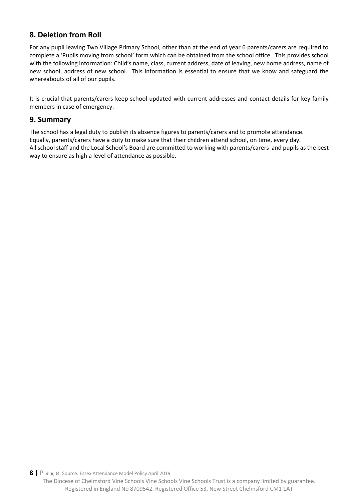# <span id="page-7-0"></span>**8. Deletion from Roll**

For any pupil leaving Two Village Primary School, other than at the end of year 6 parents/carers are required to complete a 'Pupils moving from school' form which can be obtained from the school office. This provides school with the following information: Child's name, class, current address, date of leaving, new home address, name of new school, address of new school. This information is essential to ensure that we know and safeguard the whereabouts of all of our pupils.

It is crucial that parents/carers keep school updated with current addresses and contact details for key family members in case of emergency.

# <span id="page-7-1"></span>**9. Summary**

The school has a legal duty to publish its absence figures to parents/carers and to promote attendance. Equally, parents/carers have a duty to make sure that their children attend school, on time, every day. All school staff and the Local School's Board are committed to working with parents/carers and pupils as the best way to ensure as high a level of attendance as possible.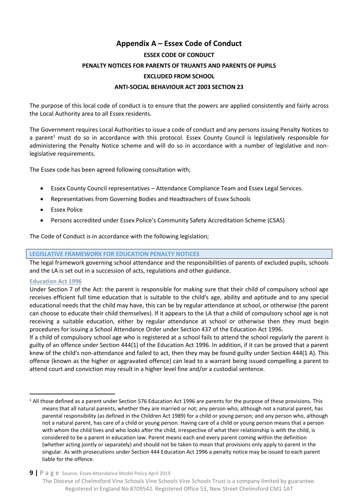# **Appendix A – Essex Code of Conduct**

#### **ESSEX CODE OF CONDUCT**

#### <span id="page-8-0"></span>**PENALTY NOTICES FOR PARENTS OF TRUANTS AND PARENTS OF PUPILS**

#### **EXCLUDED FROM SCHOOL**

#### **ANTI-SOCIAL BEHAVIOUR ACT 2003 SECTION 23**

The purpose of this local code of conduct is to ensure that the powers are applied consistently and fairly across the Local Authority area to all Essex residents.

The Government requires Local Authorities to issue a code of conduct and any persons issuing Penalty Notices to a parent<sup>1</sup> must do so in accordance with this protocol. Essex County Council is legislatively responsible for administering the Penalty Notice scheme and will do so in accordance with a number of legislative and nonlegislative requirements.

The Essex code has been agreed following consultation with;

- Essex County Council representatives Attendance Compliance Team and Essex Legal Services.
- Representatives from Governing Bodies and Headteachers of Essex Schools
- **Essex Police**
- Persons accredited under Essex Police's Community Safety Accreditation Scheme (CSAS)

The Code of Conduct is in accordance with the following legislation;

#### **LEGISLATIVE FRAMEWORK FOR EDUCATION PENALTY NOTICES**

The legal framework governing school attendance and the responsibilities of parents of excluded pupils, schools and the LA is set out in a succession of acts, regulations and other guidance.

#### **Education Act 1996**

 $\overline{a}$ 

Under Section 7 of the Act: the parent is responsible for making sure that their child of compulsory school age receives efficient full time education that is suitable to the child's age, ability and aptitude and to any special educational needs that the child may have, this can be by regular attendance at school, or otherwise (the parent can choose to educate their child themselves). If it appears to the LA that a child of compulsory school age is not receiving a suitable education, either by regular attendance at school or otherwise then they must begin procedures for issuing a School Attendance Order under Section 437 of the Education Act 1996.

If a child of compulsory school age who is registered at a school fails to attend the school regularly the parent is guilty of an offence under Section 444(1) of the Education Act 1996. In addition, if it can be proved that a parent knew of the child's non-attendance and failed to act, then they may be found guilty under Section 444(1 A). This offence (known as the higher or aggravated offence) can lead to a warrant being issued compelling a parent to attend court and conviction may result in a higher level fine and/or a custodial sentence.

# **9 |** P a g e Source: Essex Attendance Model Policy April 2019

The Diocese of Chelmsford Vine Schools Vine Schools Vine Schools Trust is a company limited by guarantee. Registered in England No 8709542. Registered Office 53, New Street Chelmsford CM1 1AT

 $1$  All those defined as a parent under Section 576 Education Act 1996 are parents for the purpose of these provisions. This means that all natural parents, whether they are married or not; any person who, although not a natural parent, has parental responsibility (as defined in the Children Act 1989) for a child or young person; and any person who, although not a natural parent, has care of a child or young person. Having care of a child or young person means that a person with whom the child lives and who looks after the child, irrespective of what their relationship is with the child, is considered to be a parent in education law. Parent means each and every parent coming within the definition (whether acting jointly or separately) and should not be taken to mean that provisions only apply to parent in the singular. As with prosecutions under Section 444 Education Act 1996 a penalty notice may be issued to each parent liable for the offence.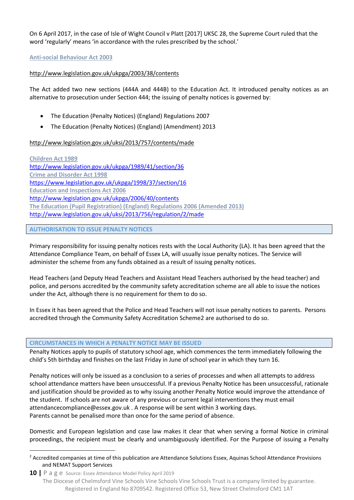On 6 April 2017, in the case of Isle of Wight Council v Platt [2017] UKSC 28, the Supreme Court ruled that the word 'regularly' means 'in accordance with the rules prescribed by the school.'

#### **Anti-social Behaviour Act 2003**

#### <http://www.legislation.gov.uk/ukpga/2003/38/contents>

The Act added two new sections (444A and 444B) to the Education Act. It introduced penalty notices as an alternative to prosecution under Section 444; the issuing of penalty notices is governed by:

- The Education (Penalty Notices) (England) Regulations 2007
- The Education (Penalty Notices) (England) (Amendment) 2013

#### <http://www.legislation.gov.uk/uksi/2013/757/contents/made>

**Children Act 1989**  <http://www.legislation.gov.uk/ukpga/1989/41/section/36> **Crime and Disorder Act 1998**  <https://www.legislation.gov.uk/ukpga/1998/37/section/16> **Education and Inspections Act 2006**  <http://www.legislation.gov.uk/ukpga/2006/40/contents> **The Education (Pupil Registration) (England) Regulations 2006 (Amended 2013)** <http://www.legislation.gov.uk/uksi/2013/756/regulation/2/made>

#### **AUTHORISATION TO ISSUE PENALTY NOTICES**

 $\overline{a}$ 

Primary responsibility for issuing penalty notices rests with the Local Authority (LA). It has been agreed that the Attendance Compliance Team, on behalf of Essex LA, will usually issue penalty notices. The Service will administer the scheme from any funds obtained as a result of issuing penalty notices.

Head Teachers (and Deputy Head Teachers and Assistant Head Teachers authorised by the head teacher) and police, and persons accredited by the community safety accreditation scheme are all able to issue the notices under the Act, although there is no requirement for them to do so.

In Essex it has been agreed that the Police and Head Teachers will not issue penalty notices to parents. Persons accredited through the Community Safety Accreditation Scheme2 are authorised to do so.

#### **CIRCUMSTANCES IN WHICH A PENALTY NOTICE MAY BE ISSUED**

Penalty Notices apply to pupils of statutory school age, which commences the term immediately following the child's 5th birthday and finishes on the last Friday in June of school year in which they turn 16.

Penalty notices will only be issued as a conclusion to a series of processes and when all attempts to address school attendance matters have been unsuccessful. If a previous Penalty Notice has been unsuccessful, rationale and justification should be provided as to why issuing another Penalty Notice would improve the attendance of the student. If schools are not aware of any previous or current legal interventions they must email [attendancecompliance@essex.gov.uk](mailto:attendancecompliance@essex.gov.uk) . A response will be sent within 3 working days. Parents cannot be penalised more than once for the same period of absence.

Domestic and European legislation and case law makes it clear that when serving a formal Notice in criminal proceedings, the recipient must be clearly and unambiguously identified. For the Purpose of issuing a Penalty

<sup>&</sup>lt;sup>2</sup> Accredited companies at time of this publication are Attendance Solutions Essex, Aquinas School Attendance Provisions and NEMAT Support Services

**<sup>10</sup> |** P a g e Source: Essex Attendance Model Policy April 2019 The Diocese of Chelmsford Vine Schools Vine Schools Vine Schools Trust is a company limited by guarantee. Registered in England No 8709542. Registered Office 53, New Street Chelmsford CM1 1AT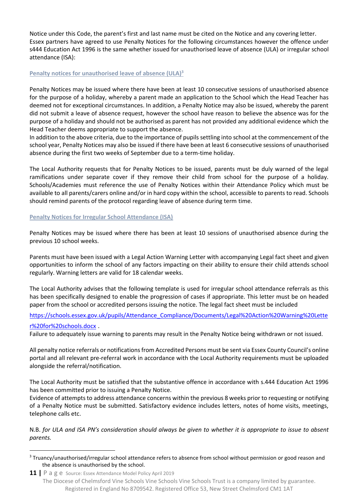Notice under this Code, the parent's first and last name must be cited on the Notice and any covering letter. Essex partners have agreed to use Penalty Notices for the following circumstances however the offence under s444 Education Act 1996 is the same whether issued for unauthorised leave of absence (ULA) or irregular school attendance (ISA):

#### **Penalty notices for unauthorised leave of absence (ULA)<sup>3</sup>**

Penalty Notices may be issued where there have been at least 10 consecutive sessions of unauthorised absence for the purpose of a holiday, whereby a parent made an application to the School which the Head Teacher has deemed not for exceptional circumstances. In addition, a Penalty Notice may also be issued, whereby the parent did not submit a leave of absence request, however the school have reason to believe the absence was for the purpose of a holiday and should not be authorised as parent has not provided any additional evidence which the Head Teacher deems appropriate to support the absence.

In addition to the above criteria, due to the importance of pupils settling into school at the commencement of the school year, Penalty Notices may also be issued if there have been at least 6 consecutive sessions of unauthorised absence during the first two weeks of September due to a term-time holiday.

The Local Authority requests that for Penalty Notices to be issued, parents must be duly warned of the legal ramifications under separate cover if they remove their child from school for the purpose of a holiday. Schools/Academies must reference the use of Penalty Notices within their Attendance Policy which must be available to all parents/carers online and/or in hard copy within the school, accessible to parents to read. Schools should remind parents of the protocol regarding leave of absence during term time.

#### **Penalty Notices for Irregular School Attendance (ISA)**

 $\overline{a}$ 

Penalty Notices may be issued where there has been at least 10 sessions of unauthorised absence during the previous 10 school weeks.

Parents must have been issued with a Legal Action Warning Letter with accompanying Legal fact sheet and given opportunities to inform the school of any factors impacting on their ability to ensure their child attends school regularly. Warning letters are valid for 18 calendar weeks.

The Local Authority advises that the following template is used for irregular school attendance referrals as this has been specifically designed to enable the progression of cases if appropriate. This letter must be on headed paper from the school or accredited persons issuing the notice. The legal fact sheet must be included

[https://schools.essex.gov.uk/pupils/Attendance\\_Compliance/Documents/Legal%20Action%20Warning%20Lette](https://schools.essex.gov.uk/pupils/Attendance_Compliance/Documents/Legal%20Action%20Warning%20Letter%20for%20schools.docx) [r%20for%20schools.docx](https://schools.essex.gov.uk/pupils/Attendance_Compliance/Documents/Legal%20Action%20Warning%20Letter%20for%20schools.docx) .

Failure to adequately issue warning to parents may result in the Penalty Notice being withdrawn or not issued.

All penalty notice referrals or notifications from Accredited Persons must be sent via Essex County Council's online portal and all relevant pre-referral work in accordance with the Local Authority requirements must be uploaded alongside the referral/notification.

The Local Authority must be satisfied that the substantive offence in accordance with s.444 Education Act 1996 has been committed prior to issuing a Penalty Notice.

Evidence of attempts to address attendance concerns within the previous 8 weeks prior to requesting or notifying of a Penalty Notice must be submitted. Satisfactory evidence includes letters, notes of home visits, meetings, telephone calls etc.

N.B. *for ULA and ISA PN's consideration should always be given to whether it is appropriate to issue to absent parents.*

<sup>&</sup>lt;sup>3</sup> Truancy/unauthorised/irregular school attendance refers to absence from school without permission or good reason and the absence is unauthorised by the school.

**<sup>11</sup> |** P a g e Source: Essex Attendance Model Policy April 2019 The Diocese of Chelmsford Vine Schools Vine Schools Vine Schools Trust is a company limited by guarantee. Registered in England No 8709542. Registered Office 53, New Street Chelmsford CM1 1AT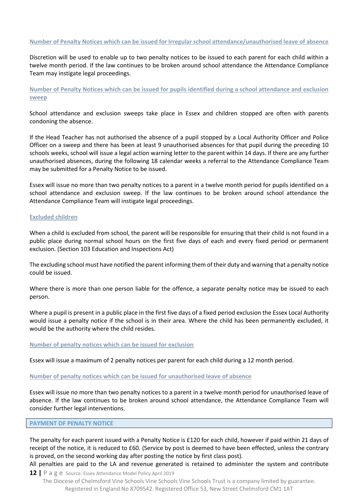#### **Number of Penalty Notices which can be issued for Irregular school attendance/unauthorised leave of absence**

Discretion will be used to enable up to two penalty notices to be issued to each parent for each child within a twelve month period. If the law continues to be broken around school attendance the Attendance Compliance Team may instigate legal proceedings.

**Number of Penalty Notices which can be issued for pupils identified during a school attendance and exclusion sweep** 

School attendance and exclusion sweeps take place in Essex and children stopped are often with parents condoning the absence.

If the Head Teacher has not authorised the absence of a pupil stopped by a Local Authority Officer and Police Officer on a sweep and there has been at least 9 unauthorised absences for that pupil during the preceding 10 schools weeks, school will issue a legal action warning letter to the parent within 14 days. If there are any further unauthorised absences, during the following 18 calendar weeks a referral to the Attendance Compliance Team may be submitted for a Penalty Notice to be issued.

Essex will issue no more than two penalty notices to a parent in a twelve month period for pupils identified on a school attendance and exclusion sweep. If the law continues to be broken around school attendance the Attendance Compliance Team will instigate legal proceedings.

#### **Excluded children**

When a child is excluded from school, the parent will be responsible for ensuring that their child is not found in a public place during normal school hours on the first five days of each and every fixed period or permanent exclusion. (Section 103 Education and Inspections Act)

The excluding school must have notified the parent informing them of their duty and warning that a penalty notice could be issued.

Where there is more than one person liable for the offence, a separate penalty notice may be issued to each person.

Where a pupil is present in a public place in the first five days of a fixed period exclusion the Essex Local Authority would issue a penalty notice if the school is in their area. Where the child has been permanently excluded, it would be the authority where the child resides.

#### **Number of penalty notices which can be issued for exclusion**

Essex will issue a maximum of 2 penalty notices per parent for each child during a 12 month period.

#### **Number of penalty notices which can be issued for unauthorised leave of absence**

Essex will issue no more than two penalty notices to a parent in a twelve month period for unauthorised leave of absence. If the law continues to be broken around school attendance, the Attendance Compliance Team will consider further legal interventions.

#### **PAYMENT OF PENALTY NOTICE**

The penalty for each parent issued with a Penalty Notice is £120 for each child, however if paid within 21 days of receipt of the notice, it is reduced to £60. (Service by post is deemed to have been effected, unless the contrary is proved, on the second working day after posting the notice by first class post).

All penalties are paid to the LA and revenue generated is retained to administer the system and contribute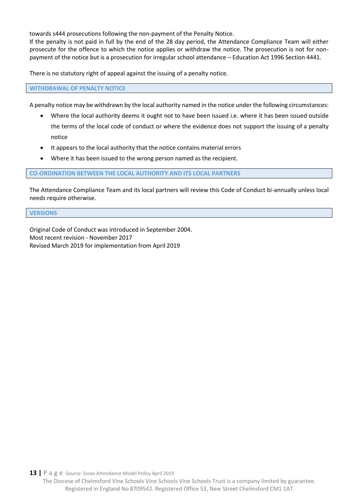towards s444 prosecutions following the non-payment of the Penalty Notice.

If the penalty is not paid in full by the end of the 28 day period, the Attendance Compliance Team will either prosecute for the offence to which the notice applies or withdraw the notice. The prosecution is not for nonpayment of the notice but is a prosecution for irregular school attendance – Education Act 1996 Section 4441.

There is no statutory right of appeal against the issuing of a penalty notice.

**WITHDRAWAL OF PENALTY NOTICE** 

A penalty notice may be withdrawn by the local authority named in the notice under the following circumstances:

- Where the local authority deems it ought not to have been issued i.e. where it has been issued outside the terms of the local code of conduct or where the evidence does not support the issuing of a penalty notice
- It appears to the local authority that the notice contains material errors
- Where it has been issued to the wrong person named as the recipient.

#### **CO-ORDINATION BETWEEN THE LOCAL AUTHORITY AND ITS LOCAL PARTNERS**

The Attendance Compliance Team and its local partners will review this Code of Conduct bi-annually unless local needs require otherwise.

#### **VERSIONS**

Original Code of Conduct was introduced in September 2004. Most recent revision - November 2017 Revised March 2019 for implementation from April 2019